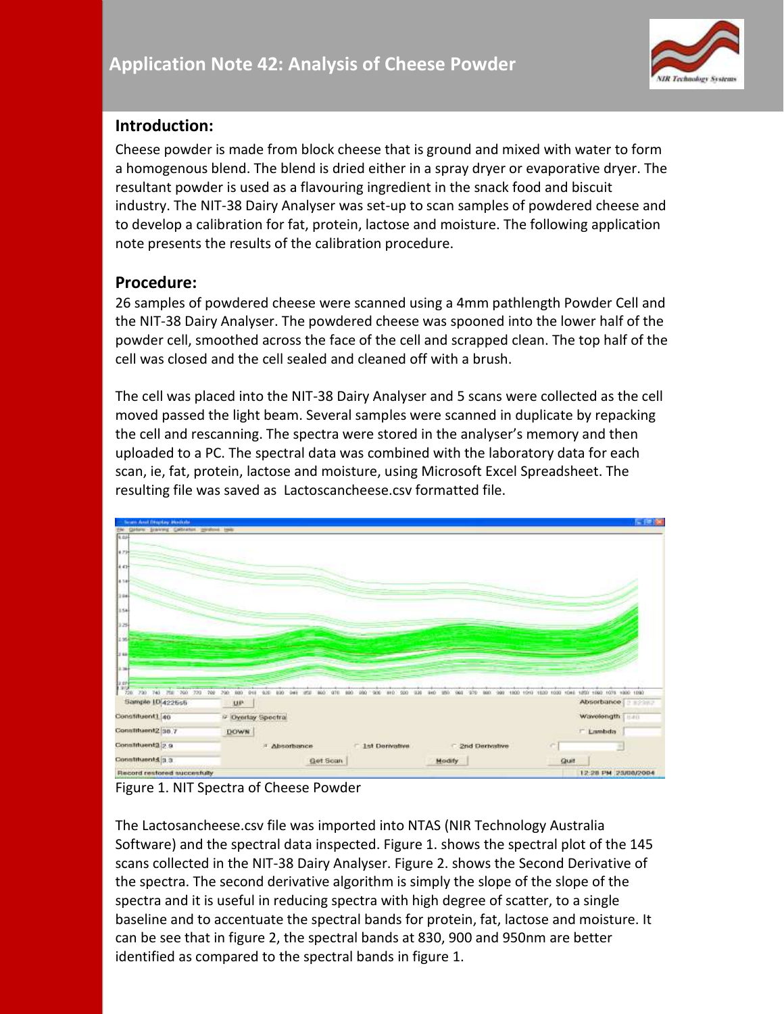

### **Introduction:**

Cheese powder is made from block cheese that is ground and mixed with water to form a homogenous blend. The blend is dried either in a spray dryer or evaporative dryer. The resultant powder is used as a flavouring ingredient in the snack food and biscuit industry. The NIT-38 Dairy Analyser was set-up to scan samples of powdered cheese and to develop a calibration for fat, protein, lactose and moisture. The following application note presents the results of the calibration procedure.

### **Procedure:**

26 samples of powdered cheese were scanned using a 4mm pathlength Powder Cell and the NIT-38 Dairy Analyser. The powdered cheese was spooned into the lower half of the powder cell, smoothed across the face of the cell and scrapped clean. The top half of the cell was closed and the cell sealed and cleaned off with a brush.

The cell was placed into the NIT-38 Dairy Analyser and 5 scans were collected as the cell moved passed the light beam. Several samples were scanned in duplicate by repacking the cell and rescanning. The spectra were stored in the analyser's memory and then uploaded to a PC. The spectral data was combined with the laboratory data for each scan, ie, fat, protein, lactose and moisture, using Microsoft Excel Spreadsheet. The resulting file was saved as Lactoscancheese.csv formatted file.



Figure 1. NIT Spectra of Cheese Powder

The Lactosancheese.csv file was imported into NTAS (NIR Technology Australia Software) and the spectral data inspected. Figure 1. shows the spectral plot of the 145 scans collected in the NIT-38 Dairy Analyser. Figure 2. shows the Second Derivative of the spectra. The second derivative algorithm is simply the slope of the slope of the spectra and it is useful in reducing spectra with high degree of scatter, to a single baseline and to accentuate the spectral bands for protein, fat, lactose and moisture. It can be see that in figure 2, the spectral bands at 830, 900 and 950nm are better identified as compared to the spectral bands in figure 1.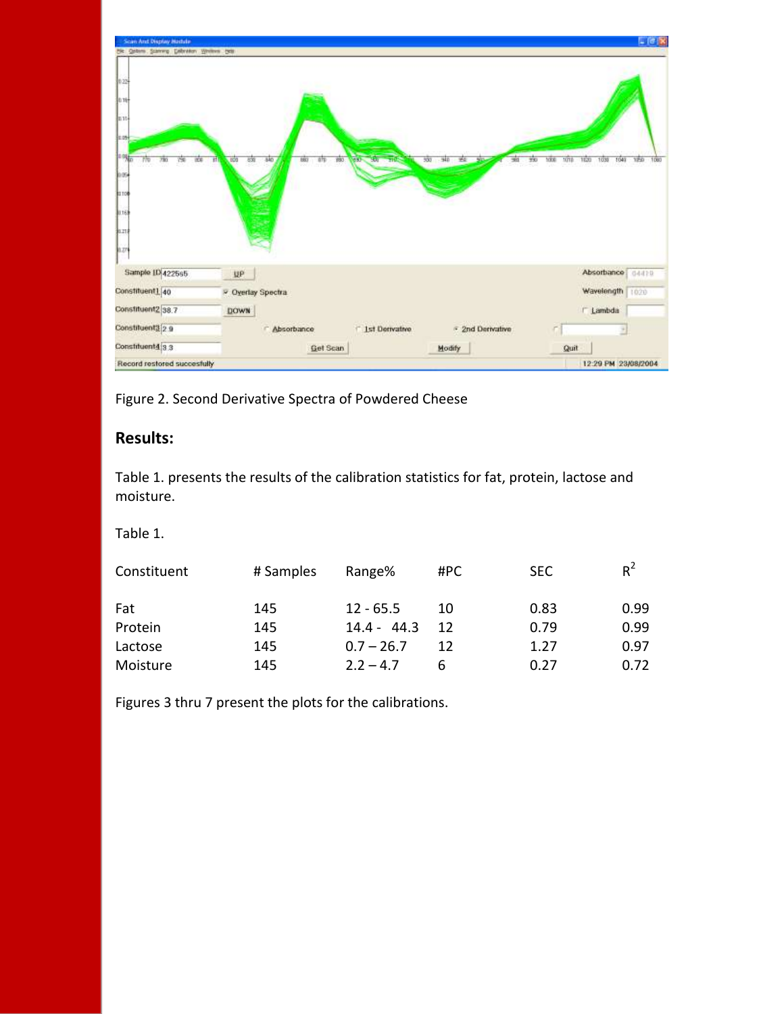

Figure 2. Second Derivative Spectra of Powdered Cheese

# **Results:**

Table 1. presents the results of the calibration statistics for fat, protein, lactose and moisture.

Table 1.

| Constituent | # Samples | Range%        | #PC | <b>SEC</b> | $R^2$ |
|-------------|-----------|---------------|-----|------------|-------|
| Fat         | 145       | $12 - 65.5$   | 10  | 0.83       | 0.99  |
| Protein     | 145       | $14.4 - 44.3$ | 12  | 0.79       | 0.99  |
| Lactose     | 145       | $0.7 - 26.7$  | 12  | 1.27       | 0.97  |
| Moisture    | 145       | $2.2 - 4.7$   | 6   | 0.27       | 0.72  |

Figures 3 thru 7 present the plots for the calibrations.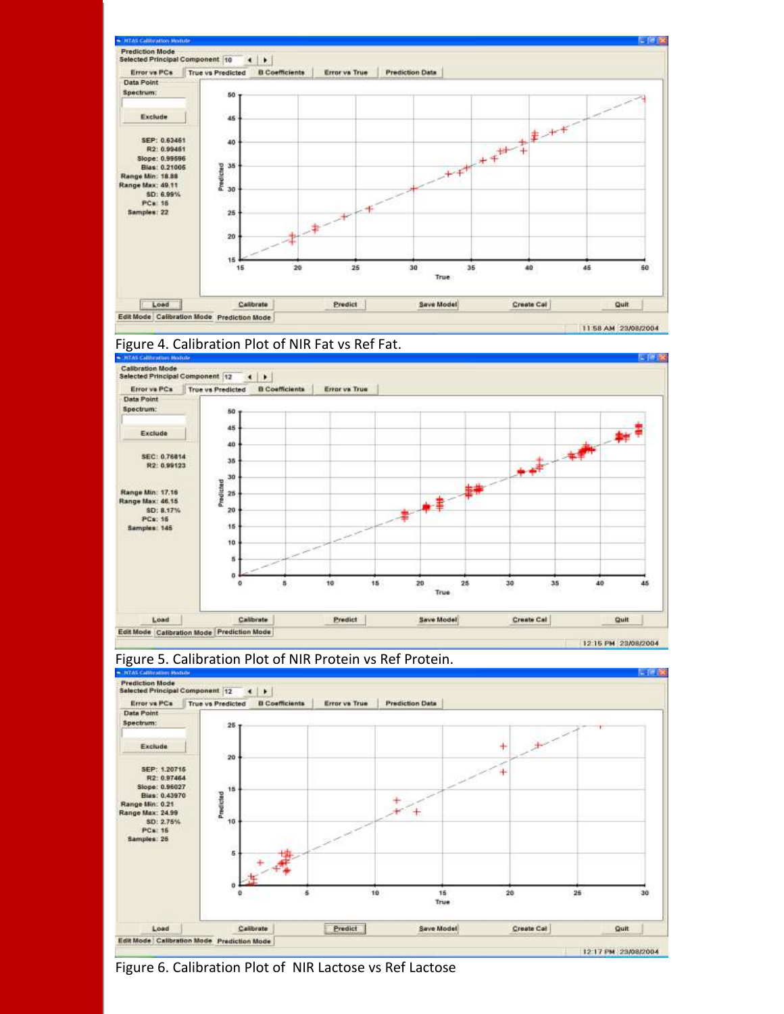









Figure 6. Calibration Plot of NIR Lactose vs Ref Lactose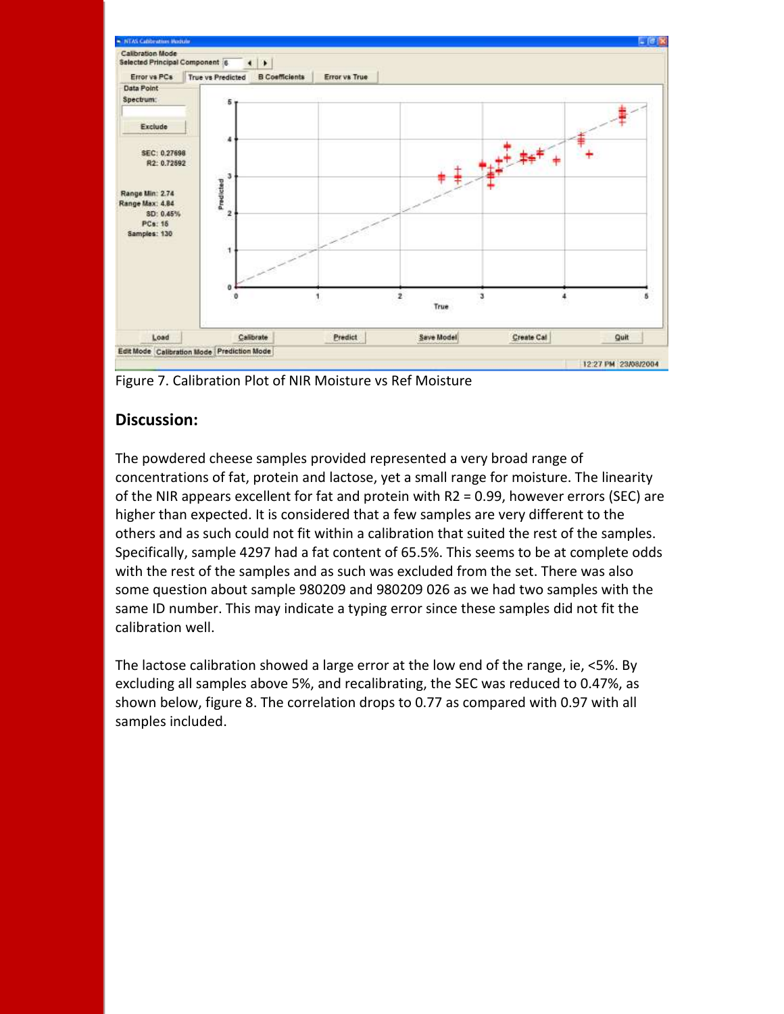

Figure 7. Calibration Plot of NIR Moisture vs Ref Moisture

# **Discussion:**

The powdered cheese samples provided represented a very broad range of concentrations of fat, protein and lactose, yet a small range for moisture. The linearity of the NIR appears excellent for fat and protein with R2 = 0.99, however errors (SEC) are higher than expected. It is considered that a few samples are very different to the others and as such could not fit within a calibration that suited the rest of the samples. Specifically, sample 4297 had a fat content of 65.5%. This seems to be at complete odds with the rest of the samples and as such was excluded from the set. There was also some question about sample 980209 and 980209 026 as we had two samples with the same ID number. This may indicate a typing error since these samples did not fit the calibration well.

The lactose calibration showed a large error at the low end of the range, ie, <5%. By excluding all samples above 5%, and recalibrating, the SEC was reduced to 0.47%, as shown below, figure 8. The correlation drops to 0.77 as compared with 0.97 with all samples included.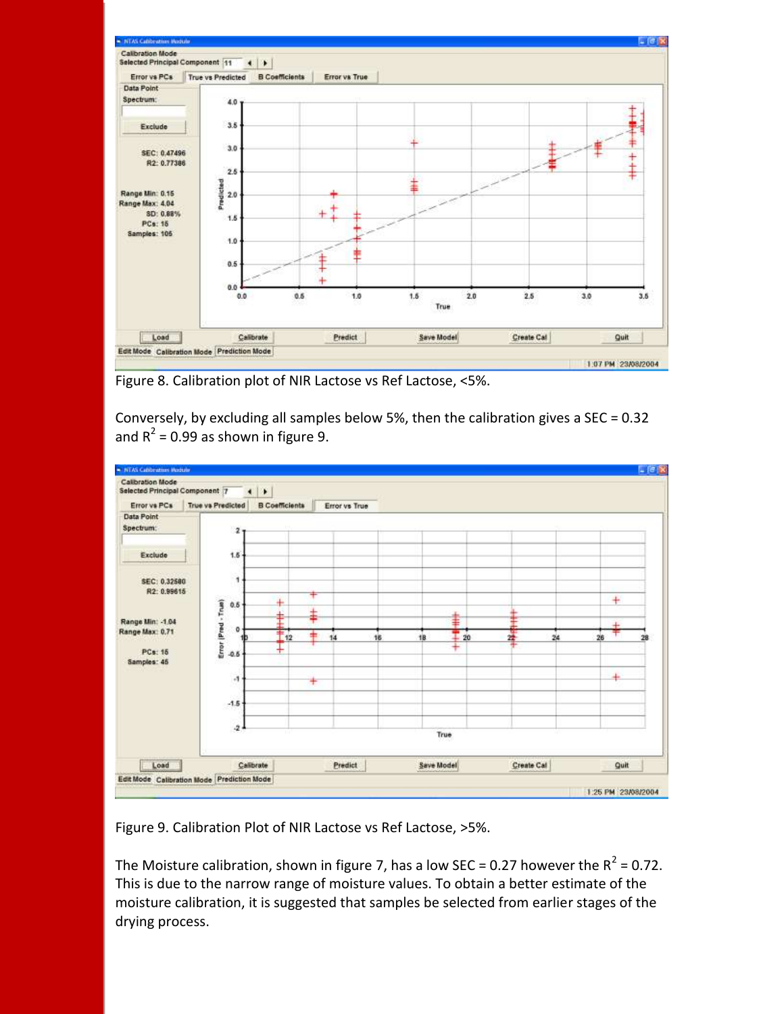

Figure 8. Calibration plot of NIR Lactose vs Ref Lactose, <5%.

Conversely, by excluding all samples below 5%, then the calibration gives a SEC =  $0.32$ and R<sup>2</sup> = 0.99 as shown in figure 9.



Figure 9. Calibration Plot of NIR Lactose vs Ref Lactose, >5%.

The Moisture calibration, shown in figure 7, has a low SEC = 0.27 however the  $R^2$  = 0.72. This is due to the narrow range of moisture values. To obtain a better estimate of the moisture calibration, it is suggested that samples be selected from earlier stages of the drying process.